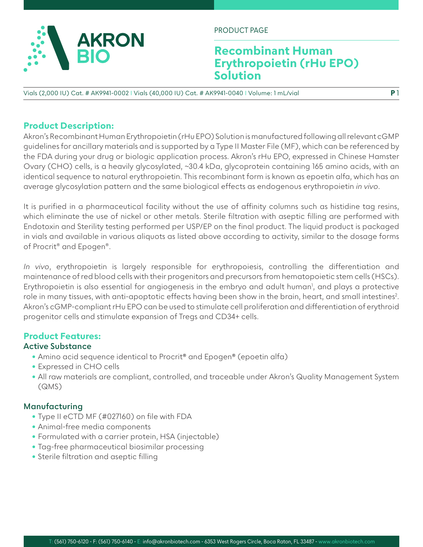

PRODUCT PAGE

# **Recombinant Human Erythropoietin (rHu EPO) Solution**

**P** 1

Vials (2,000 IU) Cat. # AK9941-0002 I Vials (40,000 IU) Cat. # AK9941-0040 I Volume: 1 mL/vial

#### **Product Description:**

Akron's Recombinant Human Erythropoietin (rHu EPO) Solution is manufactured following all relevant cGMP guidelines for ancillary materials and is supported by a Type II Master File (MF), which can be referenced by the FDA during your drug or biologic application process. Akron's rHu EPO, expressed in Chinese Hamster Ovary (CHO) cells, is a heavily glycosylated, ~30.4 kDa, glycoprotein containing 165 amino acids, with an identical sequence to natural erythropoietin. This recombinant form is known as epoetin alfa, which has an average glycosylation pattern and the same biological effects as endogenous erythropoietin *in vivo*.

It is purified in a pharmaceutical facility without the use of affinity columns such as histidine tag resins, which eliminate the use of nickel or other metals. Sterile filtration with aseptic filling are performed with Endotoxin and Sterility testing performed per USP/EP on the final product. The liquid product is packaged in vials and available in various aliquots as listed above according to activity, similar to the dosage forms of Procrit® and Epogen®.

*In vivo*, erythropoietin is largely responsible for erythropoiesis, controlling the differentiation and maintenance of red blood cells with their progenitors and precursors from hematopoietic stem cells (HSCs). Erythropoietin is also essential for angiogenesis in the embryo and adult human<sup>1</sup>, and plays a protective role in many tissues, with anti-apoptotic effects having been show in the brain, heart, and small intestines<sup>2</sup>. Akron's cGMP-compliant rHu EPO can be used to stimulate cell proliferation and differentiation of erythroid progenitor cells and stimulate expansion of Tregs and CD34+ cells.

#### **Product Features:**

#### **Active Substance**

- Amino acid sequence identical to Procrit® and Epogen® (epoetin alfa)
- Expressed in CHO cells
- All raw materials are compliant, controlled, and traceable under Akron's Quality Management System (QMS)

#### **Manufacturing**

- Type II eCTD MF (#027160) on file with FDA
- Animal-free media components
- Formulated with a carrier protein, HSA (injectable)
- Tag-free pharmaceutical biosimilar processing
- Sterile filtration and aseptic filling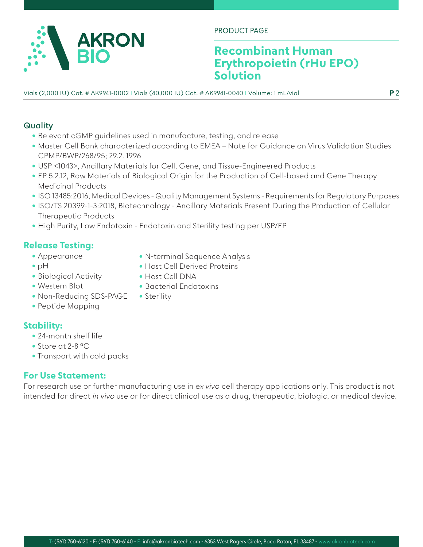

PRODUCT PAGE

# **Recombinant Human Erythropoietin (rHu EPO) Solution**

Vials (2,000 IU) Cat. # AK9941-0002 I Vials (40,000 IU) Cat. # AK9941-0040 I Volume: 1 mL/vial **P** 2

### **Quality**

- Relevant cGMP guidelines used in manufacture, testing, and release
- Master Cell Bank characterized according to EMEA Note for Guidance on Virus Validation Studies CPMP/BWP/268/95; 29.2. 1996
- USP <1043>, Ancillary Materials for Cell, Gene, and Tissue-Engineered Products
- EP 5.2.12, Raw Materials of Biological Origin for the Production of Cell-based and Gene Therapy Medicinal Products
- ISO 13485:2016, Medical Devices Quality Management Systems Requirements for Regulatory Purposes
- ISO/TS 20399-1-3:2018, Biotechnology Ancillary Materials Present During the Production of Cellular Therapeutic Products
- High Purity, Low Endotoxin Endotoxin and Sterility testing per USP/EP

• Host Cell DNA

• Sterility

• Bacterial Endotoxins

## **Release Testing:**

- Appearance
- pH
- Biological Activity
- Western Blot
- Non-Reducing SDS-PAGE
- Peptide Mapping

## **Stability:**

- 24-month shelf life
- Store at 2-8 °C
- Transport with cold packs

## **For Use Statement:**

For research use or further manufacturing use in *ex vivo* cell therapy applications only. This product is not intended for direct in vivo use or for direct clinical use as a drug, therapeutic, biologic, or medical device.

- N-terminal Sequence Analysis
- Host Cell Derived Proteins